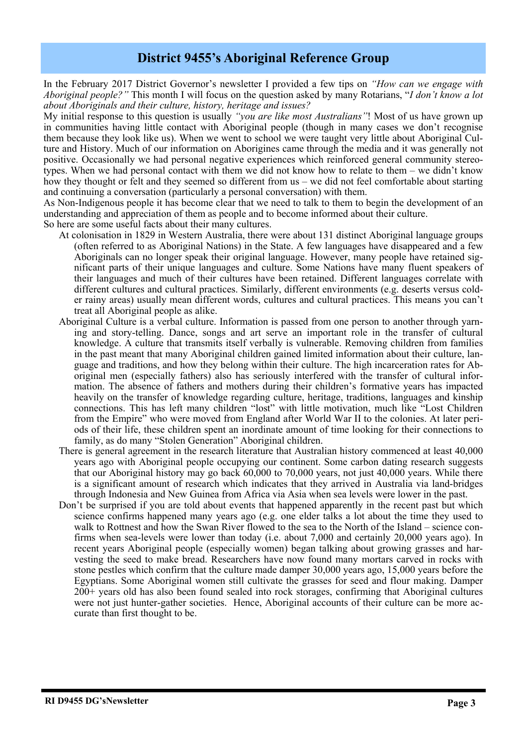## **District 9455's Aboriginal Reference Group**

In the February 2017 District Governor's newsletter I provided a few tips on *"How can we engage with Aboriginal people?"* This month I will focus on the question asked by many Rotarians, "*I don't know a lot about Aboriginals and their culture, history, heritage and issues?*

My initial response to this question is usually *"you are like most Australians"*! Most of us have grown up in communities having little contact with Aboriginal people (though in many cases we don't recognise them because they look like us). When we went to school we were taught very little about Aboriginal Culture and History. Much of our information on Aborigines came through the media and it was generally not positive. Occasionally we had personal negative experiences which reinforced general community stereotypes. When we had personal contact with them we did not know how to relate to them – we didn't know how they thought or felt and they seemed so different from us – we did not feel comfortable about starting and continuing a conversation (particularly a personal conversation) with them.

As Non-Indigenous people it has become clear that we need to talk to them to begin the development of an understanding and appreciation of them as people and to become informed about their culture. So here are some useful facts about their many cultures.

- At colonisation in 1829 in Western Australia, there were about 131 distinct Aboriginal language groups (often referred to as Aboriginal Nations) in the State. A few languages have disappeared and a few Aboriginals can no longer speak their original language. However, many people have retained significant parts of their unique languages and culture. Some Nations have many fluent speakers of their languages and much of their cultures have been retained. Different languages correlate with different cultures and cultural practices. Similarly, different environments (e.g. deserts versus colder rainy areas) usually mean different words, cultures and cultural practices. This means you can't treat all Aboriginal people as alike.
- Aboriginal Culture is a verbal culture. Information is passed from one person to another through yarning and story-telling. Dance, songs and art serve an important role in the transfer of cultural knowledge. A culture that transmits itself verbally is vulnerable. Removing children from families in the past meant that many Aboriginal children gained limited information about their culture, language and traditions, and how they belong within their culture. The high incarceration rates for Aboriginal men (especially fathers) also has seriously interfered with the transfer of cultural information. The absence of fathers and mothers during their children's formative years has impacted heavily on the transfer of knowledge regarding culture, heritage, traditions, languages and kinship connections. This has left many children "lost" with little motivation, much like "Lost Children from the Empire" who were moved from England after World War II to the colonies. At later periods of their life, these children spent an inordinate amount of time looking for their connections to family, as do many "Stolen Generation" Aboriginal children.
- There is general agreement in the research literature that Australian history commenced at least 40,000 years ago with Aboriginal people occupying our continent. Some carbon dating research suggests that our Aboriginal history may go back 60,000 to 70,000 years, not just 40,000 years. While there is a significant amount of research which indicates that they arrived in Australia via land-bridges through Indonesia and New Guinea from Africa via Asia when sea levels were lower in the past.
- Don't be surprised if you are told about events that happened apparently in the recent past but which science confirms happened many years ago (e.g. one elder talks a lot about the time they used to walk to Rottnest and how the Swan River flowed to the sea to the North of the Island – science confirms when sea-levels were lower than today (i.e. about 7,000 and certainly 20,000 years ago). In recent years Aboriginal people (especially women) began talking about growing grasses and harvesting the seed to make bread. Researchers have now found many mortars carved in rocks with stone pestles which confirm that the culture made damper 30,000 years ago, 15,000 years before the Egyptians. Some Aboriginal women still cultivate the grasses for seed and flour making. Damper 200+ years old has also been found sealed into rock storages, confirming that Aboriginal cultures were not just hunter-gather societies. Hence, Aboriginal accounts of their culture can be more accurate than first thought to be.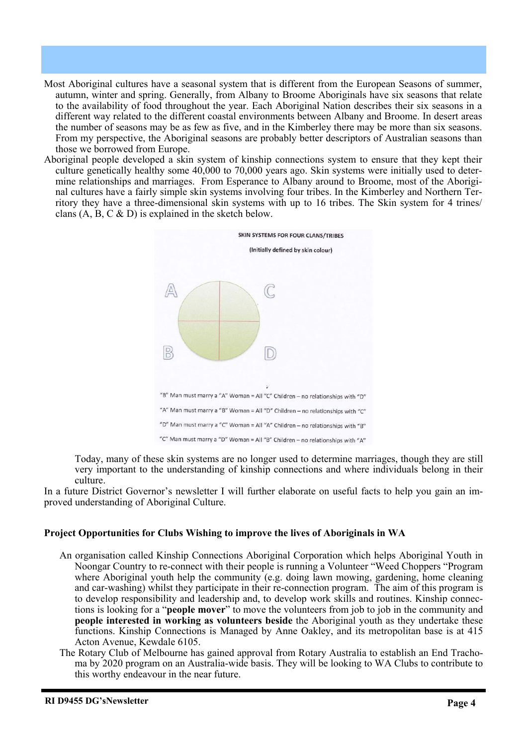- Most Aboriginal cultures have a seasonal system that is different from the European Seasons of summer, autumn, winter and spring. Generally, from Albany to Broome Aboriginals have six seasons that relate to the availability of food throughout the year. Each Aboriginal Nation describes their six seasons in a different way related to the different coastal environments between Albany and Broome. In desert areas the number of seasons may be as few as five, and in the Kimberley there may be more than six seasons. From my perspective, the Aboriginal seasons are probably better descriptors of Australian seasons than those we borrowed from Europe.
- Aboriginal people developed a skin system of kinship connections system to ensure that they kept their culture genetically healthy some 40,000 to 70,000 years ago. Skin systems were initially used to determine relationships and marriages. From Esperance to Albany around to Broome, most of the Aboriginal cultures have a fairly simple skin systems involving four tribes. In the Kimberley and Northern Territory they have a three-dimensional skin systems with up to 16 tribes. The Skin system for 4 trines/ clans  $(A, B, C \& D)$  is explained in the sketch below.



Today, many of these skin systems are no longer used to determine marriages, though they are still very important to the understanding of kinship connections and where individuals belong in their culture.

In a future District Governor's newsletter I will further elaborate on useful facts to help you gain an improved understanding of Aboriginal Culture.

## **Project Opportunities for Clubs Wishing to improve the lives of Aboriginals in WA**

- An organisation called Kinship Connections Aboriginal Corporation which helps Aboriginal Youth in Noongar Country to re-connect with their people is running a Volunteer "Weed Choppers "Program where Aboriginal youth help the community (e.g. doing lawn mowing, gardening, home cleaning and car-washing) whilst they participate in their re-connection program. The aim of this program is to develop responsibility and leadership and, to develop work skills and routines. Kinship connections is looking for a "**people mover**" to move the volunteers from job to job in the community and **people interested in working as volunteers beside** the Aboriginal youth as they undertake these functions. Kinship Connections is Managed by Anne Oakley, and its metropolitan base is at 415 Acton Avenue, Kewdale 6105.
- The Rotary Club of Melbourne has gained approval from Rotary Australia to establish an End Trachoma by 2020 program on an Australia-wide basis. They will be looking to WA Clubs to contribute to this worthy endeavour in the near future.